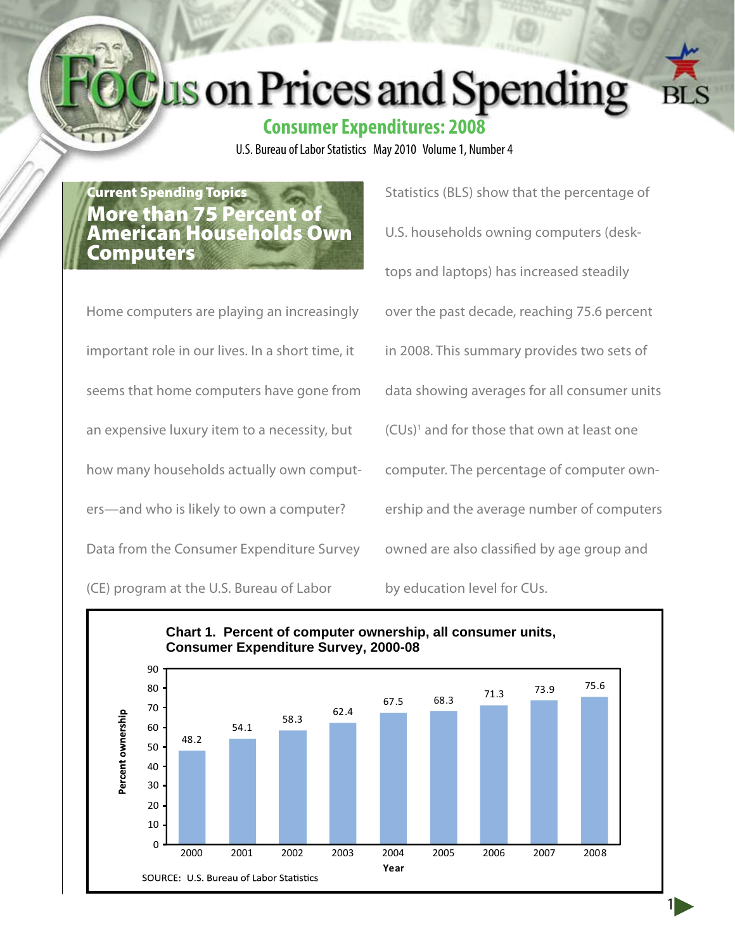# us on Prices and Spending



U.S. Bureau of Labor Statistics May 2010 Volume 1, Number 4

Current Spending Topics More than 75 Percent of American Households Own **Computers** 

Home computers are playing an increasingly important role in our lives. In a short time, it seems that home computers have gone from an expensive luxury item to a necessity, but how many households actually own computers—and who is likely to own a computer? Data from the Consumer Expenditure Survey (CE) program at the U.S. Bureau of Labor

Statistics (BLS) show that the percentage of U.S. households owning computers (desktops and laptops) has increased steadily over the past decade, reaching 75.6 percent in 2008. This summary provides two sets of data showing averages for all consumer units (CUs)1 and for those that own at least one computer. The percentage of computer ownership and the average number of computers owned are also classified by age group and by education level for CUs.

1

**Chart 1. Percent of computer ownership, all consumer units, Consumer Expenditure Survey, 2000-08**90 67.5 68.3 71.3 73.9 75.6 80 70 62.4 Percent ownership 58.3 54.1 60 48.2 50 40 30 20 10  $\Omega$ 2000 2001 2002 2003 2004 2005 2006 2007 2008 **Year** SOURCE: U.S. Bureau of Labor Statistics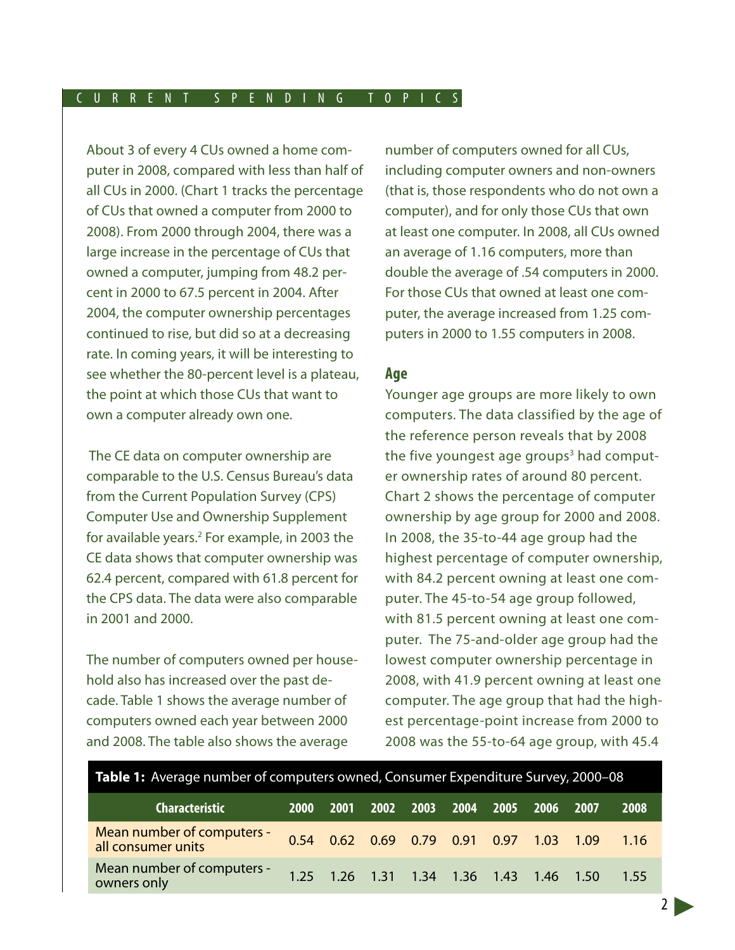About 3 of every 4 CUs owned a home computer in 2008, compared with less than half of all CUs in 2000. (Chart 1 tracks the percentage of CUs that owned a computer from 2000 to 2008). From 2000 through 2004, there was a large increase in the percentage of CUs that owned a computer, jumping from 48.2 percent in 2000 to 67.5 percent in 2004. After 2004, the computer ownership percentages continued to rise, but did so at a decreasing rate. In coming years, it will be interesting to see whether the 80-percent level is a plateau, the point at which those CUs that want to own a computer already own one.

 The CE data on computer ownership are comparable to the U.S. Census Bureau's data from the Current Population Survey (CPS) Computer Use and Ownership Supplement for available years.<sup>2</sup> For example, in 2003 the CE data shows that computer ownership was 62.4 percent, compared with 61.8 percent for the CPS data. The data were also comparable in 2001 and 2000.

The number of computers owned per household also has increased over the past decade. Table 1 shows the average number of computers owned each year between 2000 and 2008. The table also shows the average

number of computers owned for all CUs, including computer owners and non-owners (that is, those respondents who do not own a computer), and for only those CUs that own at least one computer. In 2008, all CUs owned an average of 1.16 computers, more than double the average of .54 computers in 2000. For those CUs that owned at least one computer, the average increased from 1.25 computers in 2000 to 1.55 computers in 2008.

### **Age**

Younger age groups are more likely to own computers. The data classified by the age of the reference person reveals that by 2008 the five youngest age groups<sup>3</sup> had computer ownership rates of around 80 percent. Chart 2 shows the percentage of computer ownership by age group for 2000 and 2008. In 2008, the 35-to-44 age group had the highest percentage of computer ownership, with 84.2 percent owning at least one computer. The 45-to-54 age group followed, with 81.5 percent owning at least one computer. The 75-and-older age group had the lowest computer ownership percentage in 2008, with 41.9 percent owning at least one computer. The age group that had the highest percentage-point increase from 2000 to 2008 was the 55-to-64 age group, with 45.4

| <b>Table 1:</b> Average number of computers owned, Consumer Expenditure Survey, 2000-08 |             |  |  |  |  |  |                                         |                                                |       |  |  |
|-----------------------------------------------------------------------------------------|-------------|--|--|--|--|--|-----------------------------------------|------------------------------------------------|-------|--|--|
| <b>Characteristic</b>                                                                   | <b>2000</b> |  |  |  |  |  | 2001 2002 2003 2004 2005 2006 2007      |                                                | 2008  |  |  |
| Mean number of computers -<br>all consumer units                                        |             |  |  |  |  |  |                                         | 0.54  0.62  0.69  0.79  0.91  0.97  1.03  1.09 | -1.16 |  |  |
| Mean number of computers -<br>owners only                                               |             |  |  |  |  |  | 1.25 1.26 1.31 1.34 1.36 1.43 1.46 1.50 |                                                | 1.55  |  |  |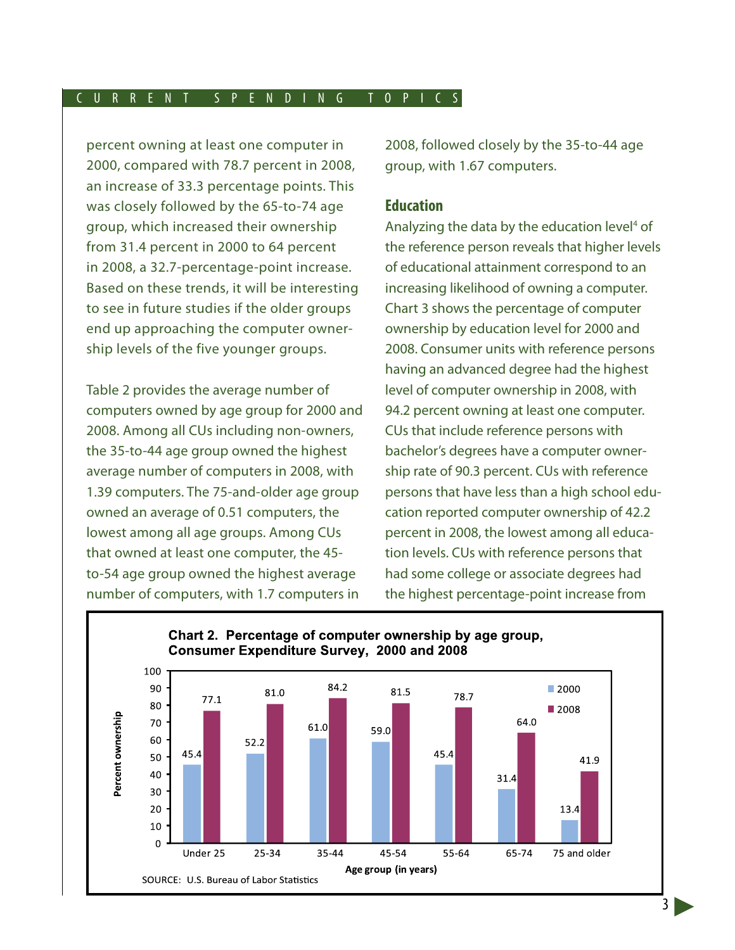percent owning at least one computer in 2000, compared with 78.7 percent in 2008, an increase of 33.3 percentage points. This was closely followed by the 65-to-74 age group, which increased their ownership from 31.4 percent in 2000 to 64 percent in 2008, a 32.7-percentage-point increase. Based on these trends, it will be interesting to see in future studies if the older groups end up approaching the computer ownership levels of the five younger groups.

Table 2 provides the average number of computers owned by age group for 2000 and 2008. Among all CUs including non-owners, the 35-to-44 age group owned the highest average number of computers in 2008, with 1.39 computers. The 75-and-older age group owned an average of 0.51 computers, the lowest among all age groups. Among CUs that owned at least one computer, the 45 to-54 age group owned the highest average number of computers, with 1.7 computers in

2008, followed closely by the 35-to-44 age group, with 1.67 computers.

# **Education**

Analyzing the data by the education level<sup>4</sup> of the reference person reveals that higher levels of educational attainment correspond to an increasing likelihood of owning a computer. Chart 3 shows the percentage of computer ownership by education level for 2000 and 2008. Consumer units with reference persons having an advanced degree had the highest level of computer ownership in 2008, with 94.2 percent owning at least one computer. CUs that include reference persons with bachelor's degrees have a computer ownership rate of 90.3 percent. CUs with reference persons that have less than a high school education reported computer ownership of 42.2 percent in 2008, the lowest among all education levels. CUs with reference persons that had some college or associate degrees had the highest percentage-point increase from

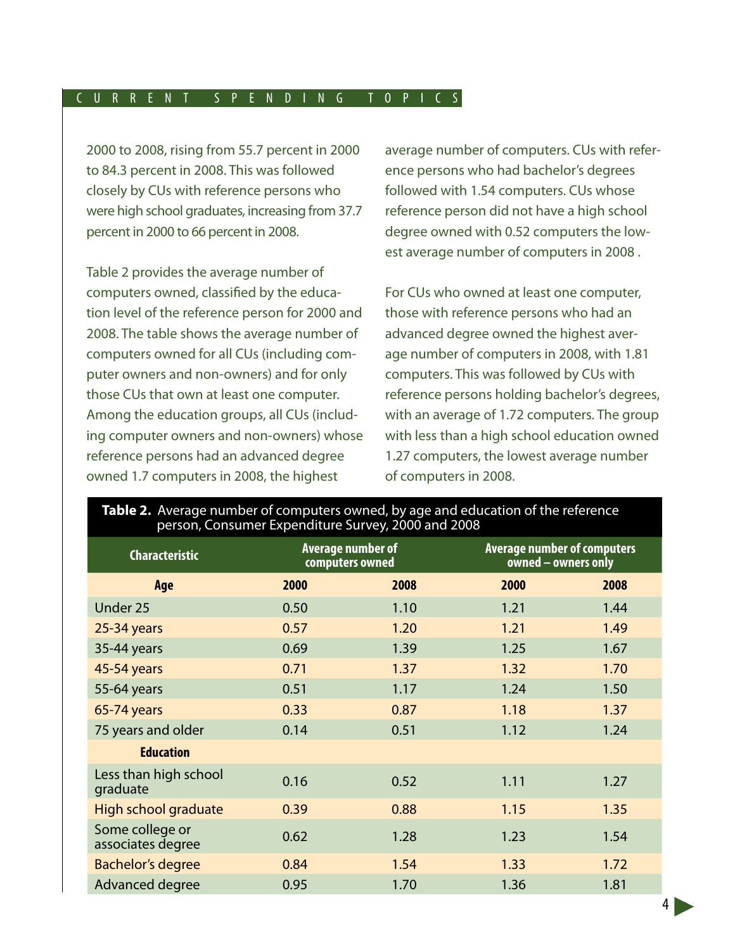2000 to 2008, rising from 55.7 percent in 2000 to 84.3 percent in 2008. This was followed closely by CUs with reference persons who were high school graduates, increasing from 37.7 percent in 2000 to 66 percent in 2008.

Table 2 provides the average number of computers owned, classified by the education level of the reference person for 2000 and 2008. The table shows the average number of computers owned for all CUs (including computer owners and non-owners) and for only those CUs that own at least one computer. Among the education groups, all CUs (including computer owners and non-owners) whose reference persons had an advanced degree owned 1.7 computers in 2008, the highest

average number of computers. CUs with reference persons who had bachelor's degrees followed with 1.54 computers. CUs whose reference person did not have a high school degree owned with 0.52 computers the lowest average number of computers in 2008 .

For CUs who owned at least one computer, those with reference persons who had an advanced degree owned the highest average number of computers in 2008, with 1.81 computers. This was followed by CUs with reference persons holding bachelor's degrees, with an average of 1.72 computers. The group with less than a high school education owned 1.27 computers, the lowest average number of computers in 2008.

| person, Consumer Experiencie Survey, 2000 and 2000 |      |                                             |                                                           |      |  |  |  |  |  |
|----------------------------------------------------|------|---------------------------------------------|-----------------------------------------------------------|------|--|--|--|--|--|
| <b>Characteristic</b>                              |      | <b>Average number of</b><br>computers owned | <b>Average number of computers</b><br>owned - owners only |      |  |  |  |  |  |
| Age                                                | 2000 | 2008                                        | 2000                                                      | 2008 |  |  |  |  |  |
| Under 25                                           | 0.50 | 1.10                                        | 1.21                                                      | 1.44 |  |  |  |  |  |
| 25-34 years                                        | 0.57 | 1.20                                        | 1.21                                                      | 1.49 |  |  |  |  |  |
| 35-44 years                                        | 0.69 | 1.39                                        | 1.25                                                      | 1.67 |  |  |  |  |  |
| 45-54 years                                        | 0.71 | 1.37                                        | 1.32                                                      | 1.70 |  |  |  |  |  |
| 55-64 years                                        | 0.51 | 1.17                                        | 1.24                                                      | 1.50 |  |  |  |  |  |
| 65-74 years                                        | 0.33 | 0.87                                        | 1.18                                                      | 1.37 |  |  |  |  |  |
| 75 years and older                                 | 0.14 | 0.51                                        | 1.12                                                      | 1.24 |  |  |  |  |  |
| <b>Education</b>                                   |      |                                             |                                                           |      |  |  |  |  |  |
| Less than high school<br>graduate                  | 0.16 | 0.52                                        | 1.11                                                      | 1.27 |  |  |  |  |  |
| <b>High school graduate</b>                        | 0.39 | 0.88                                        | 1.15                                                      | 1.35 |  |  |  |  |  |
| Some college or<br>associates degree               | 0.62 | 1.28                                        | 1.23                                                      | 1.54 |  |  |  |  |  |
| <b>Bachelor's degree</b>                           | 0.84 | 1.54                                        | 1.33                                                      | 1.72 |  |  |  |  |  |
| Advanced degree                                    | 0.95 | 1.70                                        | 1.36                                                      | 1.81 |  |  |  |  |  |

# **Table 2.** Average number of computers owned, by age and education of the reference person, Consumer Expenditure Survey, 2000 and 2008